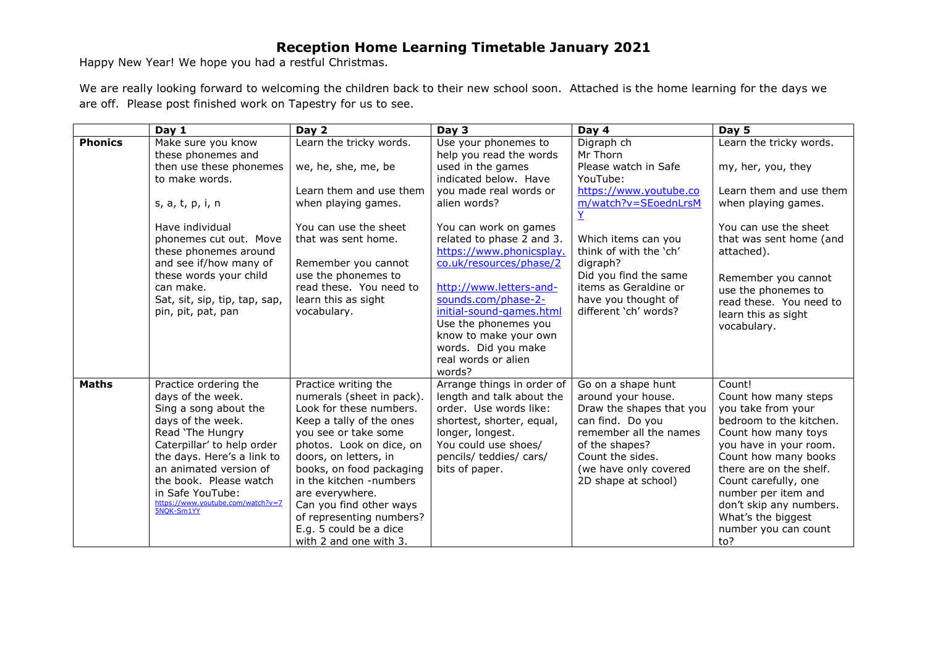## **Reception Home Learning Timetable January 2021**

Happy New Year! We hope you had a restful Christmas.

We are really looking forward to welcoming the children back to their new school soon. Attached is the home learning for the days we are off. Please post finished work on Tapestry for us to see.

|                | Day 1                                                                                                                                                                                                                                                                                               | Day 2                                                                                                                                                                                                                                                                                                                                                                      | Day 3                                                                                                                                                                                                                                                                                  | Day 4                                                                                                                                                                                                    | Day 5                                                                                                                                                                                                                                                                                                              |
|----------------|-----------------------------------------------------------------------------------------------------------------------------------------------------------------------------------------------------------------------------------------------------------------------------------------------------|----------------------------------------------------------------------------------------------------------------------------------------------------------------------------------------------------------------------------------------------------------------------------------------------------------------------------------------------------------------------------|----------------------------------------------------------------------------------------------------------------------------------------------------------------------------------------------------------------------------------------------------------------------------------------|----------------------------------------------------------------------------------------------------------------------------------------------------------------------------------------------------------|--------------------------------------------------------------------------------------------------------------------------------------------------------------------------------------------------------------------------------------------------------------------------------------------------------------------|
| <b>Phonics</b> | Make sure you know<br>these phonemes and                                                                                                                                                                                                                                                            | Learn the tricky words.                                                                                                                                                                                                                                                                                                                                                    | Use your phonemes to<br>help you read the words                                                                                                                                                                                                                                        | Digraph ch<br>Mr Thorn                                                                                                                                                                                   | Learn the tricky words.                                                                                                                                                                                                                                                                                            |
|                | then use these phonemes<br>to make words.                                                                                                                                                                                                                                                           | we, he, she, me, be                                                                                                                                                                                                                                                                                                                                                        | used in the games<br>indicated below. Have                                                                                                                                                                                                                                             | Please watch in Safe<br>YouTube:                                                                                                                                                                         | my, her, you, they                                                                                                                                                                                                                                                                                                 |
|                | s, a, t, p, i, n                                                                                                                                                                                                                                                                                    | Learn them and use them<br>when playing games.                                                                                                                                                                                                                                                                                                                             | you made real words or<br>alien words?                                                                                                                                                                                                                                                 | https://www.youtube.co<br>m/watch?v=SEoednLrsM<br>Ÿ                                                                                                                                                      | Learn them and use them<br>when playing games.                                                                                                                                                                                                                                                                     |
|                | Have individual<br>phonemes cut out. Move<br>these phonemes around<br>and see if/how many of<br>these words your child<br>can make.<br>Sat, sit, sip, tip, tap, sap,<br>pin, pit, pat, pan                                                                                                          | You can use the sheet<br>that was sent home.<br>Remember you cannot<br>use the phonemes to<br>read these. You need to<br>learn this as sight<br>vocabulary.                                                                                                                                                                                                                | You can work on games<br>related to phase 2 and 3.<br>https://www.phonicsplay.<br>co.uk/resources/phase/2<br>http://www.letters-and-<br>sounds.com/phase-2-<br>initial-sound-games.html<br>Use the phonemes you<br>know to make your own<br>words. Did you make<br>real words or alien | Which items can you<br>think of with the 'ch'<br>digraph?<br>Did you find the same<br>items as Geraldine or<br>have you thought of<br>different 'ch' words?                                              | You can use the sheet<br>that was sent home (and<br>attached).<br>Remember you cannot<br>use the phonemes to<br>read these. You need to<br>learn this as sight<br>vocabulary.                                                                                                                                      |
| <b>Maths</b>   | Practice ordering the<br>days of the week.<br>Sing a song about the<br>days of the week.<br>Read 'The Hungry<br>Caterpillar' to help order<br>the days. Here's a link to<br>an animated version of<br>the book. Please watch<br>in Safe YouTube:<br>https://www.youtube.com/watch?v=7<br>5NOK-Sm1YY | Practice writing the<br>numerals (sheet in pack).<br>Look for these numbers.<br>Keep a tally of the ones<br>you see or take some<br>photos. Look on dice, on<br>doors, on letters, in<br>books, on food packaging<br>in the kitchen -numbers<br>are everywhere.<br>Can you find other ways<br>of representing numbers?<br>E.g. 5 could be a dice<br>with 2 and one with 3. | words?<br>Arrange things in order of<br>length and talk about the<br>order. Use words like:<br>shortest, shorter, equal,<br>longer, longest.<br>You could use shoes/<br>pencils/ teddies/ cars/<br>bits of paper.                                                                      | Go on a shape hunt<br>around your house.<br>Draw the shapes that you<br>can find. Do you<br>remember all the names<br>of the shapes?<br>Count the sides.<br>(we have only covered<br>2D shape at school) | Count!<br>Count how many steps<br>you take from your<br>bedroom to the kitchen.<br>Count how many toys<br>you have in your room.<br>Count how many books<br>there are on the shelf.<br>Count carefully, one<br>number per item and<br>don't skip any numbers.<br>What's the biggest<br>number you can count<br>to? |